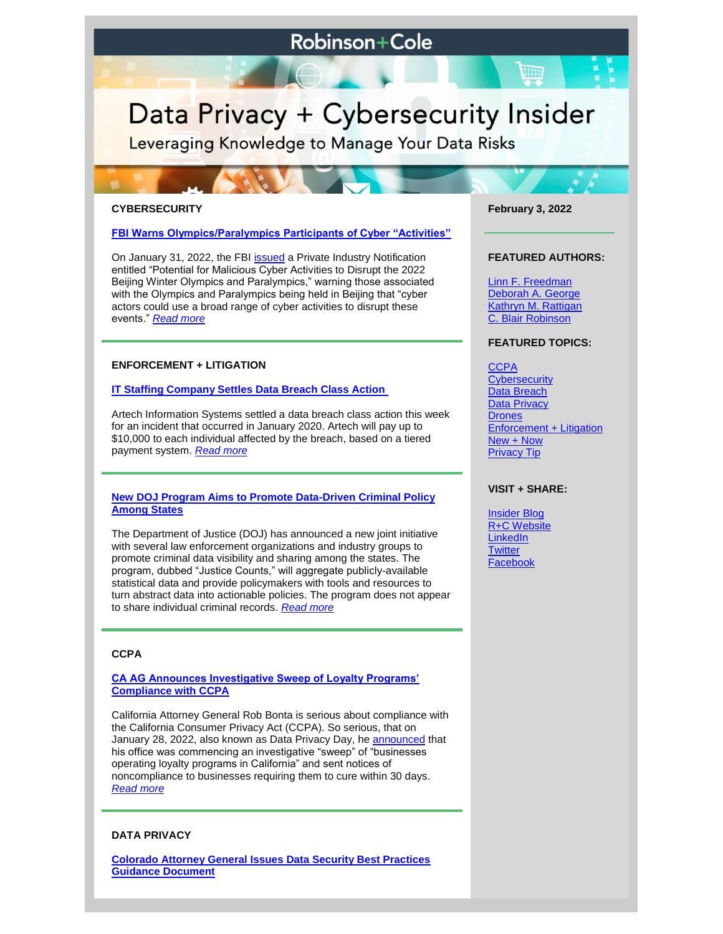# **Robinson+Cole**

# Data Privacy + Cybersecurity Insider

Leveraging Knowledge to Manage Your Data Risks

#### **CYBERSECURITY**

#### **[FBI Warns Olympics/Paralympics Participants of Cyber "Activities"](https://www.dataprivacyandsecurityinsider.com/2022/02/fbi-warns-olympics-paralympics-participants-of-cyber-activities/)**

On January 31, 2022, the FBI **[issued](https://www.ic3.gov/Media/News/2022/220131.pdf)** a Private Industry Notification entitled "Potential for Malicious Cyber Activities to Disrupt the 2022 Beijing Winter Olympics and Paralympics," warning those associated with the Olympics and Paralympics being held in Beijing that "cyber actors could use a broad range of cyber activities to disrupt these events." *[Read more](https://www.dataprivacyandsecurityinsider.com/2022/02/fbi-warns-olympics-paralympics-participants-of-cyber-activities/)*

## **ENFORCEMENT + LITIGATION**

#### **[IT Staffing Company Settles Data Breach Class Action](https://www.dataprivacyandsecurityinsider.com/2022/02/it-staffing-company-settles-data-breach-class-action/)**

Artech Information Systems settled a data breach class action this week for an incident that occurred in January 2020. Artech will pay up to \$10,000 to each individual affected by the breach, based on a tiered payment system. *[Read more](https://www.dataprivacyandsecurityinsider.com/2022/02/it-staffing-company-settles-data-breach-class-action/)*

#### **[New DOJ Program Aims to Promote Data-Driven Criminal Policy](https://www.dataprivacyandsecurityinsider.com/2022/02/new-doj-program-aims-to-promote-data-driven-criminal-policy-among-states/)  [Among States](https://www.dataprivacyandsecurityinsider.com/2022/02/new-doj-program-aims-to-promote-data-driven-criminal-policy-among-states/)**

The Department of Justice (DOJ) has announced a new joint initiative with several law enforcement organizations and industry groups to promote criminal data visibility and sharing among the states. The program, dubbed "Justice Counts," will aggregate publicly-available statistical data and provide policymakers with tools and resources to turn abstract data into actionable policies. The program does not appear to share individual criminal records. *[Read more](https://www.dataprivacyandsecurityinsider.com/2022/02/new-doj-program-aims-to-promote-data-driven-criminal-policy-among-states/)*

# **CCPA**

### **[CA AG Announces Investigative Sweep of Loyalty Programs'](https://www.dataprivacyandsecurityinsider.com/2022/02/caag-announces-investigative-sweep-of-loyalty-programs-compliance-with-ccpa/)  [Compliance with CCPA](https://www.dataprivacyandsecurityinsider.com/2022/02/caag-announces-investigative-sweep-of-loyalty-programs-compliance-with-ccpa/)**

California Attorney General Rob Bonta is serious about compliance with the California Consumer Privacy Act (CCPA). So serious, that on January 28, 2022, also known as Data Privacy Day, he [announced](https://oag.ca.gov/news/press-releases/data-privacy-day-attorney-general-bonta-puts-businesses-operating-loyalty) that his office was commencing an investigative "sweep" of "businesses operating loyalty programs in California" and sent notices of noncompliance to businesses requiring them to cure within 30 days. *[Read more](https://www.dataprivacyandsecurityinsider.com/2022/02/caag-announces-investigative-sweep-of-loyalty-programs-compliance-with-ccpa/)*

#### **DATA PRIVACY**

**[Colorado Attorney General Issues Data Security Best Practices](https://www.dataprivacyandsecurityinsider.com/2022/02/colorado-attorney-general-issues-data-security-best-practices-guidance-document/)  [Guidance Document](https://www.dataprivacyandsecurityinsider.com/2022/02/colorado-attorney-general-issues-data-security-best-practices-guidance-document/)**

**February 3, 2022**

#### **FEATURED AUTHORS:**

[Linn F. Freedman](https://www.rc.com/people/LinnFFreedman.cfm) [Deborah A. George](http://www.rc.com/people/DeborahAGeorge.cfm) [Kathryn M. Rattigan](https://www.rc.com/people/kathrynmrattigan.cfm) C. Blair Robinson

#### **FEATURED TOPICS:**

**[CCPA](https://www.dataprivacyandsecurityinsider.com/category/ccpa/) [Cybersecurity](https://www.dataprivacyandsecurityinsider.com/category/cybersecurity/)** [Data Breach](https://www.dataprivacyandsecurityinsider.com/category/data-breach/) [Data Privacy](https://www.dataprivacyandsecurityinsider.com/category/data-privacy/) **[Drones](https://www.dataprivacyandsecurityinsider.com/category/drones/)** [Enforcement + Litigation](https://www.dataprivacyandsecurityinsider.com/category/enforcement-litigation/) [New + Now](https://www.dataprivacyandsecurityinsider.com/category/new-now/) [Privacy Tip](https://www.dataprivacyandsecurityinsider.com/category/privacy-tips/)

#### **VISIT + SHARE:**

[Insider Blog](https://www.dataprivacyandsecurityinsider.com/) [R+C Website](http://www.rc.com/) **[LinkedIn](https://www.linkedin.com/company/robinson-&-cole-llp) [Twitter](https://twitter.com/RobinsonCole)** [Facebook](https://www.facebook.com/RobinsonCole-144331422248207/)